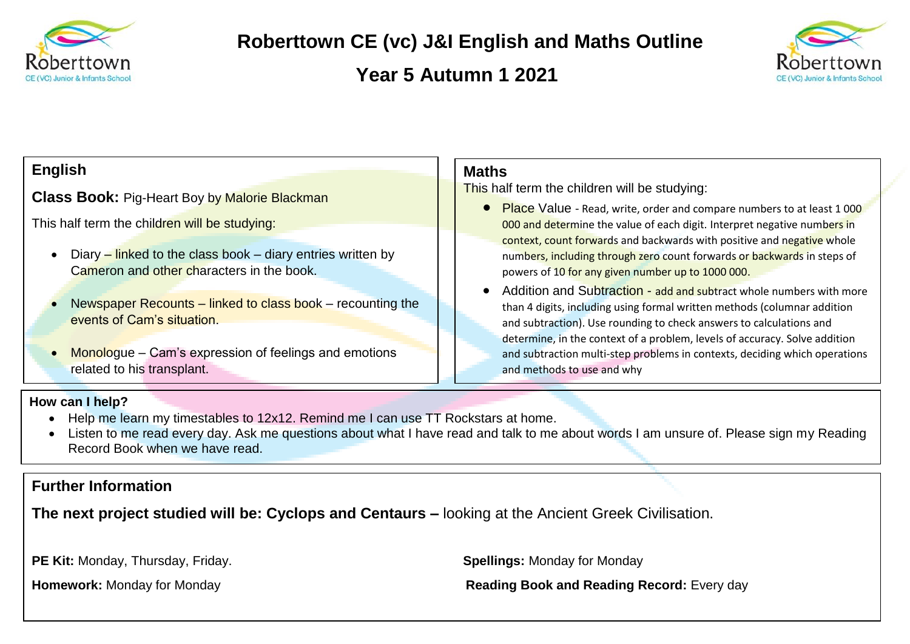

# **Roberttown CE (vc) J&I English and Maths Outline**

 **Year 5 Autumn 1 2021**



### **English**

**Class Book:** Pig-Heart Boy by Malorie Blackman

This half term the children will be studying:

- Diary linked to the class book diary entries written by Cameron and other characters in the book.
- Newspaper Recounts linked to class book recounting the events of Cam's situation.
- Monologue Cam's expression of feelings and emotions related to his transplant.

### **Maths**

This half term the children will be studying:

- **Place** Value Read, write, order and compare numbers to at least 1000 000 and determine the value of each digit. Interpret negative numbers in context, count forwards and backwards with positive and negative whole numbers, including through zero count forwards or backwards in steps of powers of 10 for any given number up to 1000 000.
- Addition and Subtraction add and subtract whole numbers with more than 4 digits, including using formal written methods (columnar addition and subtraction). Use rounding to check answers to calculations and determine, in the context of a problem, levels of accuracy. Solve addition and subtraction multi-step problems in contexts, deciding which operations and methods to use and why

#### **How can I help?**

- Help me learn my timestables to 12x12. Remind me I can use TT Rockstars at home.
- Listen to me read every day. Ask me questions about what I have read and talk to me about words I am unsure of. Please sign my Reading Record Book when we have read.

## **Further Information**

**The next project studied will be: Cyclops and Centaurs –** looking at the Ancient Greek Civilisation.

**PE Kit:** Monday, Thursday, Friday. **Spellings:** Monday for Monday

**Homework:** Monday for Monday **Reading Book and Reading Record:** Every day